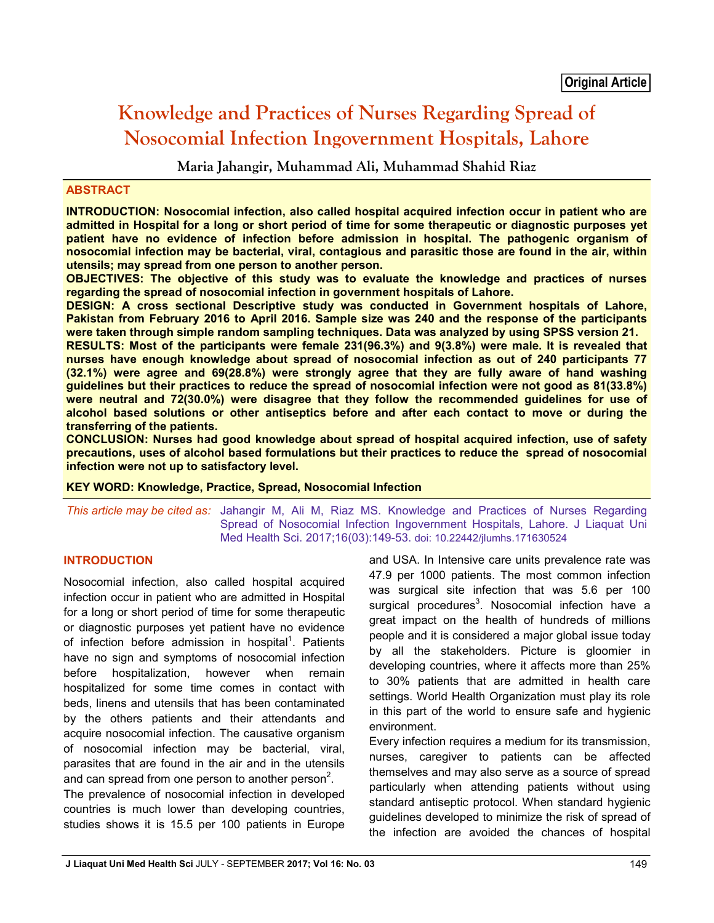# **Knowledge and Practices of Nurses Regarding Spread of Nosocomial Infection Ingovernment Hospitals, Lahore**

**Maria Jahangir, Muhammad Ali, Muhammad Shahid Riaz** 

## **ABSTRACT**

**INTRODUCTION: Nosocomial infection, also called hospital acquired infection occur in patient who are admitted in Hospital for a long or short period of time for some therapeutic or diagnostic purposes yet patient have no evidence of infection before admission in hospital. The pathogenic organism of nosocomial infection may be bacterial, viral, contagious and parasitic those are found in the air, within utensils; may spread from one person to another person.**

**OBJECTIVES: The objective of this study was to evaluate the knowledge and practices of nurses regarding the spread of nosocomial infection in government hospitals of Lahore.** 

**DESIGN: A cross sectional Descriptive study was conducted in Government hospitals of Lahore, Pakistan from February 2016 to April 2016. Sample size was 240 and the response of the participants were taken through simple random sampling techniques. Data was analyzed by using SPSS version 21.**

**RESULTS: Most of the participants were female 231(96.3%) and 9(3.8%) were male. It is revealed that nurses have enough knowledge about spread of nosocomial infection as out of 240 participants 77 (32.1%) were agree and 69(28.8%) were strongly agree that they are fully aware of hand washing guidelines but their practices to reduce the spread of nosocomial infection were not good as 81(33.8%) were neutral and 72(30.0%) were disagree that they follow the recommended guidelines for use of alcohol based solutions or other antiseptics before and after each contact to move or during the transferring of the patients.**

**CONCLUSION: Nurses had good knowledge about spread of hospital acquired infection, use of safety precautions, uses of alcohol based formulations but their practices to reduce the spread of nosocomial infection were not up to satisfactory level.**

#### **KEY WORD: Knowledge, Practice, Spread, Nosocomial Infection**

*This article may be cited as:* Jahangir M, Ali M, Riaz MS. Knowledge and Practices of Nurses Regarding Spread of Nosocomial Infection Ingovernment Hospitals, Lahore. J Liaquat Uni Med Health Sci. 2017;16(03):149-53. doi: 10.22442/jlumhs.171630524

## **INTRODUCTION**

Nosocomial infection, also called hospital acquired infection occur in patient who are admitted in Hospital for a long or short period of time for some therapeutic or diagnostic purposes yet patient have no evidence of infection before admission in hospital<sup>1</sup>. Patients have no sign and symptoms of nosocomial infection before hospitalization, however when remain hospitalized for some time comes in contact with beds, linens and utensils that has been contaminated by the others patients and their attendants and acquire nosocomial infection. The causative organism of nosocomial infection may be bacterial, viral, parasites that are found in the air and in the utensils and can spread from one person to another person<sup>2</sup>.

The prevalence of nosocomial infection in developed countries is much lower than developing countries, studies shows it is 15.5 per 100 patients in Europe and USA. In Intensive care units prevalence rate was 47.9 per 1000 patients. The most common infection was surgical site infection that was 5.6 per 100 surgical procedures<sup>3</sup>. Nosocomial infection have a great impact on the health of hundreds of millions people and it is considered a major global issue today by all the stakeholders. Picture is gloomier in developing countries, where it affects more than 25% to 30% patients that are admitted in health care settings. World Health Organization must play its role in this part of the world to ensure safe and hygienic environment.

Every infection requires a medium for its transmission, nurses, caregiver to patients can be affected themselves and may also serve as a source of spread particularly when attending patients without using standard antiseptic protocol. When standard hygienic guidelines developed to minimize the risk of spread of the infection are avoided the chances of hospital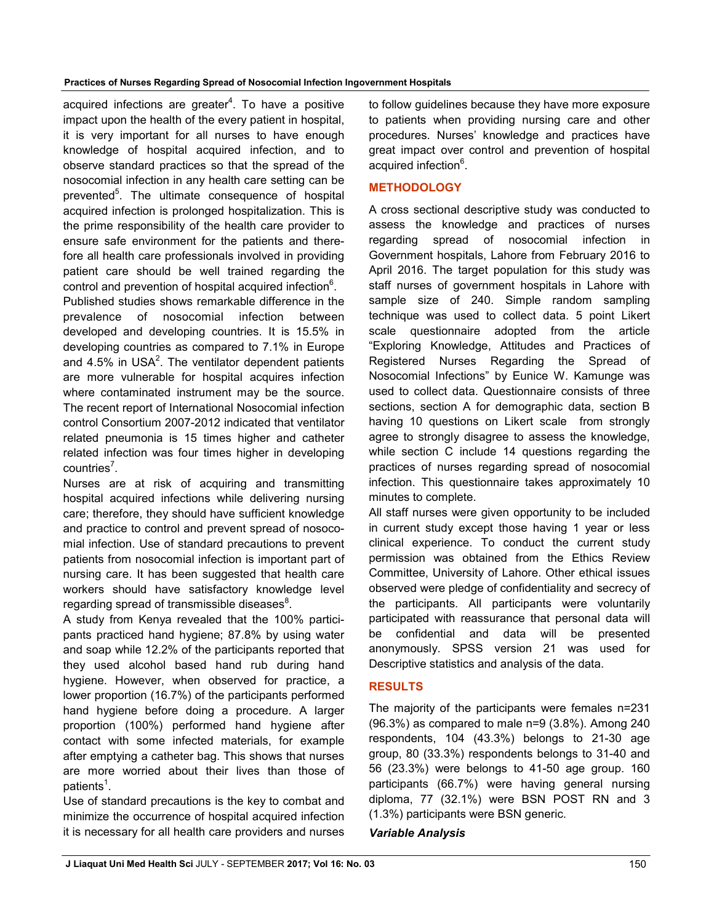acquired infections are greater<sup>4</sup>. To have a positive impact upon the health of the every patient in hospital, it is very important for all nurses to have enough knowledge of hospital acquired infection, and to observe standard practices so that the spread of the nosocomial infection in any health care setting can be prevented<sup>5</sup>. The ultimate consequence of hospital acquired infection is prolonged hospitalization. This is the prime responsibility of the health care provider to ensure safe environment for the patients and therefore all health care professionals involved in providing patient care should be well trained regarding the control and prevention of hospital acquired infection $6$ .

Published studies shows remarkable difference in the prevalence of nosocomial infection between developed and developing countries. It is 15.5% in developing countries as compared to 7.1% in Europe and 4.5% in USA<sup>2</sup>. The ventilator dependent patients are more vulnerable for hospital acquires infection where contaminated instrument may be the source. The recent report of International Nosocomial infection control Consortium 2007-2012 indicated that ventilator related pneumonia is 15 times higher and catheter related infection was four times higher in developing countries<sup>7</sup>.

Nurses are at risk of acquiring and transmitting hospital acquired infections while delivering nursing care; therefore, they should have sufficient knowledge and practice to control and prevent spread of nosocomial infection. Use of standard precautions to prevent patients from nosocomial infection is important part of nursing care. It has been suggested that health care workers should have satisfactory knowledge level regarding spread of transmissible diseases $^8$ .

A study from Kenya revealed that the 100% participants practiced hand hygiene; 87.8% by using water and soap while 12.2% of the participants reported that they used alcohol based hand rub during hand hygiene. However, when observed for practice, a lower proportion (16.7%) of the participants performed hand hygiene before doing a procedure. A larger proportion (100%) performed hand hygiene after contact with some infected materials, for example after emptying a catheter bag. This shows that nurses are more worried about their lives than those of patients<sup>1</sup>.

Use of standard precautions is the key to combat and minimize the occurrence of hospital acquired infection it is necessary for all health care providers and nurses to follow guidelines because they have more exposure to patients when providing nursing care and other procedures. Nurses' knowledge and practices have great impact over control and prevention of hospital acquired infection<sup>6</sup>.

## **METHODOLOGY**

A cross sectional descriptive study was conducted to assess the knowledge and practices of nurses regarding spread of nosocomial infection in Government hospitals, Lahore from February 2016 to April 2016. The target population for this study was staff nurses of government hospitals in Lahore with sample size of 240. Simple random sampling technique was used to collect data. 5 point Likert scale questionnaire adopted from the article "Exploring Knowledge, Attitudes and Practices of Registered Nurses Regarding the Spread of Nosocomial Infections" by Eunice W. Kamunge was used to collect data. Questionnaire consists of three sections, section A for demographic data, section B having 10 questions on Likert scale from strongly agree to strongly disagree to assess the knowledge, while section C include 14 questions regarding the practices of nurses regarding spread of nosocomial infection. This questionnaire takes approximately 10 minutes to complete.

All staff nurses were given opportunity to be included in current study except those having 1 year or less clinical experience. To conduct the current study permission was obtained from the Ethics Review Committee, University of Lahore. Other ethical issues observed were pledge of confidentiality and secrecy of the participants. All participants were voluntarily participated with reassurance that personal data will be confidential and data will be presented anonymously. SPSS version 21 was used for Descriptive statistics and analysis of the data.

## **RESULTS**

The majority of the participants were females n=231 (96.3%) as compared to male n=9 (3.8%). Among 240 respondents, 104 (43.3%) belongs to 21-30 age group, 80 (33.3%) respondents belongs to 31-40 and 56 (23.3%) were belongs to 41-50 age group. 160 participants (66.7%) were having general nursing diploma, 77 (32.1%) were BSN POST RN and 3 (1.3%) participants were BSN generic.

## *Variable Analysis*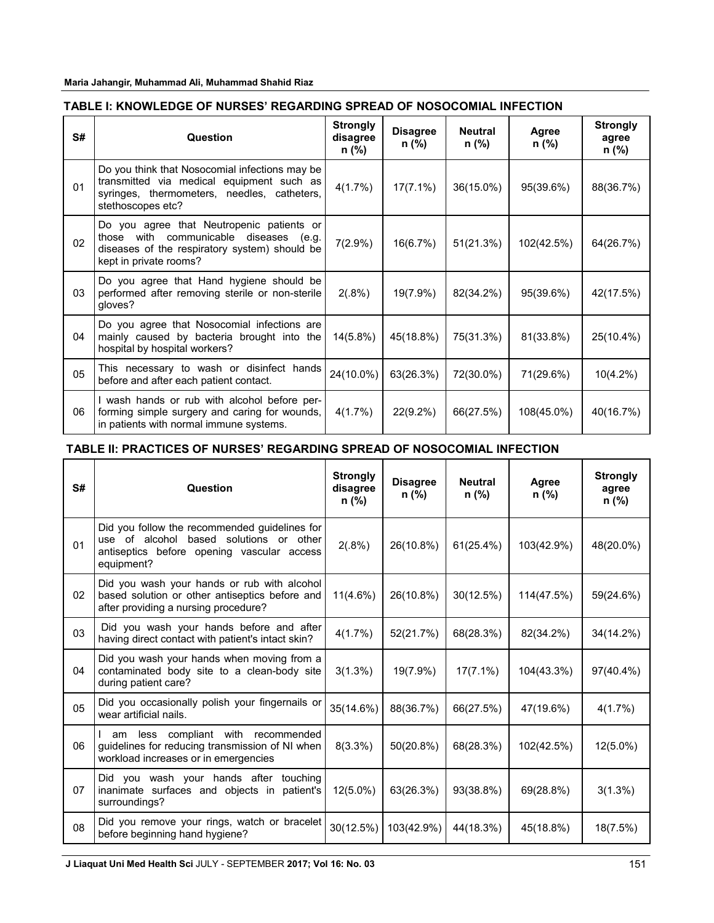**Maria Jahangir, Muhammad Ali, Muhammad Shahid Riaz**

## **TABLE I: KNOWLEDGE OF NURSES' REGARDING SPREAD OF NOSOCOMIAL INFECTION**

| S# | <b>Question</b>                                                                                                                                                 | <b>Strongly</b><br>disagree<br>n (%) | <b>Disagree</b><br>n (%) | <b>Neutral</b><br>n (%) | Agree<br>n (%) | <b>Strongly</b><br>agree<br>n (%) |
|----|-----------------------------------------------------------------------------------------------------------------------------------------------------------------|--------------------------------------|--------------------------|-------------------------|----------------|-----------------------------------|
| 01 | Do you think that Nosocomial infections may be<br>transmitted via medical equipment such as<br>syringes, thermometers, needles, catheters,<br>stethoscopes etc? | 4(1.7%)                              | $17(7.1\%)$              | 36(15.0%)               | 95(39.6%)      | 88(36.7%)                         |
| 02 | Do you agree that Neutropenic patients or<br>those with communicable diseases (e.g.<br>diseases of the respiratory system) should be<br>kept in private rooms?  | $7(2.9\%)$                           | 16(6.7%)                 | 51(21.3%)               | 102(42.5%)     | 64(26.7%)                         |
| 03 | Do you agree that Hand hygiene should be<br>performed after removing sterile or non-sterile<br>qloves?                                                          | 2(.8%)                               | 19(7.9%)                 | 82(34.2%)               | 95(39.6%)      | 42(17.5%)                         |
| 04 | Do you agree that Nosocomial infections are<br>mainly caused by bacteria brought into the<br>hospital by hospital workers?                                      | $14(5.8\%)$                          | 45(18.8%)                | 75(31.3%)               | 81(33.8%)      | 25(10.4%)                         |
| 05 | This necessary to wash or disinfect hands<br>before and after each patient contact.                                                                             | 24(10.0%)                            | 63(26.3%)                | 72(30.0%)               | 71(29.6%)      | $10(4.2\%)$                       |
| 06 | I wash hands or rub with alcohol before per-<br>forming simple surgery and caring for wounds,<br>in patients with normal immune systems.                        | 4(1.7%)                              | $22(9.2\%)$              | 66(27.5%)               | 108(45.0%)     | 40(16.7%)                         |

### **TABLE II: PRACTICES OF NURSES' REGARDING SPREAD OF NOSOCOMIAL INFECTION**

| S#             | Question                                                                                                                                             | <b>Strongly</b><br>disagree<br>n (%) | <b>Disagree</b><br>n (%) | <b>Neutral</b><br>n (%) | Agree<br>n (%) | <b>Strongly</b><br>agree<br>n (%) |
|----------------|------------------------------------------------------------------------------------------------------------------------------------------------------|--------------------------------------|--------------------------|-------------------------|----------------|-----------------------------------|
| 01             | Did you follow the recommended guidelines for<br>use of alcohol based solutions or other<br>antiseptics before opening vascular access<br>equipment? | 2(.8%)                               | 26(10.8%)                | 61(25.4%)               | 103(42.9%)     | 48(20.0%)                         |
| 02             | Did you wash your hands or rub with alcohol<br>based solution or other antiseptics before and<br>after providing a nursing procedure?                | 11(4.6%)                             | 26(10.8%)                | 30(12.5%)               | 114(47.5%)     | 59(24.6%)                         |
| 03             | Did you wash your hands before and after<br>having direct contact with patient's intact skin?                                                        | 4(1.7%)                              | 52(21.7%)                | 68(28.3%)               | 82(34.2%)      | 34(14.2%)                         |
| 04             | Did you wash your hands when moving from a<br>contaminated body site to a clean-body site<br>during patient care?                                    | 3(1.3%)                              | 19(7.9%)                 | $17(7.1\%)$             | 104(43.3%)     | 97(40.4%)                         |
| 0 <sub>5</sub> | Did you occasionally polish your fingernails or<br>wear artificial nails.                                                                            | 35(14.6%)                            | 88(36.7%)                | 66(27.5%)               | 47(19.6%)      | 4(1.7%)                           |
| 06             | am less compliant with recommended<br>guidelines for reducing transmission of NI when<br>workload increases or in emergencies                        | $8(3.3\%)$                           | 50(20.8%)                | 68(28.3%)               | 102(42.5%)     | $12(5.0\%)$                       |
| 07             | Did you wash your hands after touching<br>inanimate surfaces and objects in<br>patient's<br>surroundings?                                            | $12(5.0\%)$                          | 63(26.3%)                | 93(38.8%)               | 69(28.8%)      | 3(1.3%)                           |
| 08             | Did you remove your rings, watch or bracelet<br>before beginning hand hygiene?                                                                       | 30(12.5%)                            | 103(42.9%)               | 44(18.3%)               | 45(18.8%)      | 18(7.5%)                          |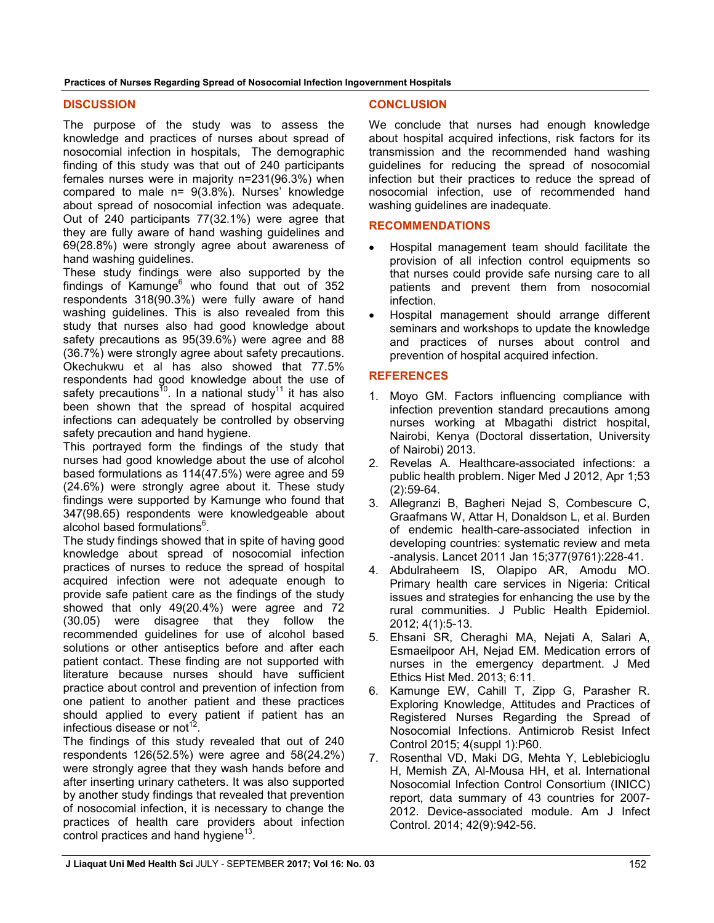**Practices of Nurses Regarding Spread of Nosocomial Infection Ingovernment Hospitals**

#### **DISCUSSION**

The purpose of the study was to assess the knowledge and practices of nurses about spread of nosocomial infection in hospitals, The demographic finding of this study was that out of 240 participants females nurses were in majority n=231(96.3%) when compared to male n= 9(3.8%). Nurses' knowledge about spread of nosocomial infection was adequate. Out of 240 participants 77(32.1%) were agree that they are fully aware of hand washing guidelines and 69(28.8%) were strongly agree about awareness of hand washing guidelines.

These study findings were also supported by the findings of Kamunge<sup>6</sup> who found that out of  $352$ respondents 318(90.3%) were fully aware of hand washing guidelines. This is also revealed from this study that nurses also had good knowledge about safety precautions as 95(39.6%) were agree and 88 (36.7%) were strongly agree about safety precautions. Okechukwu et al has also showed that 77.5% respondents had good knowledge about the use of safety precautions<sup>10</sup>. In a national study<sup>11</sup> it has also been shown that the spread of hospital acquired infections can adequately be controlled by observing safety precaution and hand hygiene.

This portrayed form the findings of the study that nurses had good knowledge about the use of alcohol based formulations as 114(47.5%) were agree and 59 (24.6%) were strongly agree about it. These study findings were supported by Kamunge who found that 347(98.65) respondents were knowledgeable about alcohol based formulations<sup>6</sup>.

The study findings showed that in spite of having good knowledge about spread of nosocomial infection practices of nurses to reduce the spread of hospital acquired infection were not adequate enough to provide safe patient care as the findings of the study showed that only 49(20.4%) were agree and 72 (30.05) were disagree that they follow the recommended guidelines for use of alcohol based solutions or other antiseptics before and after each patient contact. These finding are not supported with literature because nurses should have sufficient practice about control and prevention of infection from one patient to another patient and these practices should applied to every patient if patient has an infectious disease or not<sup>12</sup>.

The findings of this study revealed that out of 240 respondents 126(52.5%) were agree and 58(24.2%) were strongly agree that they wash hands before and after inserting urinary catheters. It was also supported by another study findings that revealed that prevention of nosocomial infection, it is necessary to change the practices of health care providers about infection control practices and hand hygiene<sup>13</sup>.

#### **CONCLUSION**

We conclude that nurses had enough knowledge about hospital acquired infections, risk factors for its transmission and the recommended hand washing guidelines for reducing the spread of nosocomial infection but their practices to reduce the spread of nosocomial infection, use of recommended hand washing guidelines are inadequate.

## **RECOMMENDATIONS**

- Hospital management team should facilitate the provision of all infection control equipments so that nurses could provide safe nursing care to all patients and prevent them from nosocomial infection.
- Hospital management should arrange different seminars and workshops to update the knowledge and practices of nurses about control and prevention of hospital acquired infection.

#### **REFERENCES**

- 1. Moyo GM. Factors influencing compliance with infection prevention standard precautions among nurses working at Mbagathi district hospital, Nairobi, Kenya (Doctoral dissertation, University of Nairobi) 2013.
- 2. Revelas A. Healthcare-associated infections: a public health problem. Niger Med J 2012, Apr 1;53 (2):59-64.
- 3. Allegranzi B, Bagheri Nejad S, Combescure C, Graafmans W, Attar H, Donaldson L, et al. Burden of endemic health-care-associated infection in developing countries: systematic review and meta -analysis. Lancet 2011 Jan 15;377(9761):228-41.
- 4. Abdulraheem IS, Olapipo AR, Amodu MO. Primary health care services in Nigeria: Critical issues and strategies for enhancing the use by the rural communities. J Public Health Epidemiol. 2012; 4(1):5-13.
- 5. Ehsani SR, Cheraghi MA, Nejati A, Salari A, Esmaeilpoor AH, Nejad EM. Medication errors of nurses in the emergency department. J Med Ethics Hist Med. 2013; 6:11.
- 6. Kamunge EW, Cahill T, Zipp G, Parasher R. Exploring Knowledge, Attitudes and Practices of Registered Nurses Regarding the Spread of Nosocomial Infections. Antimicrob Resist Infect Control 2015; 4(suppl 1):P60.
- 7. Rosenthal VD, Maki DG, Mehta Y, Leblebicioglu H, Memish ZA, Al-Mousa HH, et al. International Nosocomial Infection Control Consortium (INICC) report, data summary of 43 countries for 2007- 2012. Device-associated module. Am J Infect Control. 2014; 42(9):942-56.